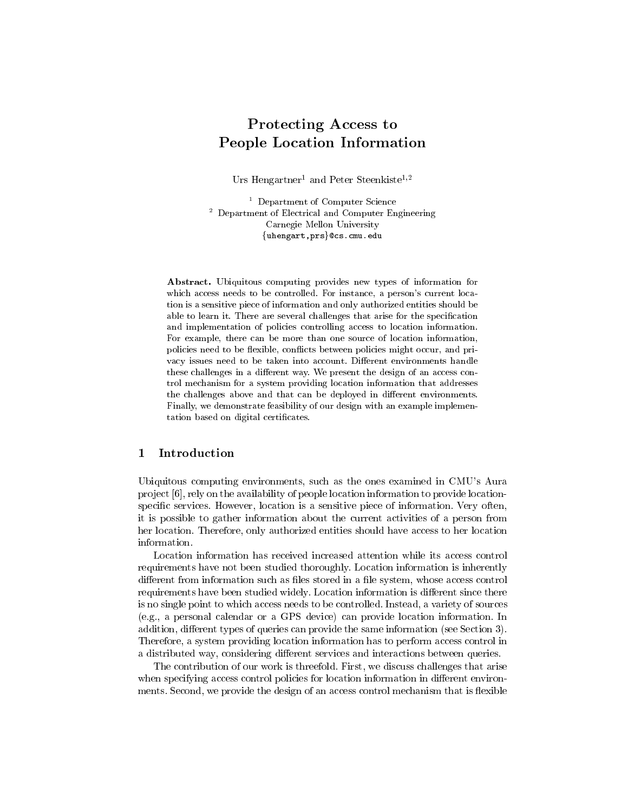# **Protecting Access to People Location Information**

Urs Hengartner<sup>1</sup> and Peter Steenkiste<sup>1,2</sup>

<sup>1</sup> Department of Computer Science  $2$  Department of Electrical and Computer Engineering Carnegie Mellon University {uhengart, prs}@cs.cmu.edu

Abstract. Ubiquitous computing provides new types of information for which access needs to be controlled. For instance, a person's current location is a sensitive piece of information and only authorized entities should be able to learn it. There are several challenges that arise for the specification and implementation of policies controlling access to location information. For example, there can be more than one source of location information, policies need to be flexible, conflicts between policies might occur, and privacy issues need to be taken into account. Different environments handle these challenges in a different way. We present the design of an access control mechanism for a system providing location information that addresses the challenges above and that can be deployed in different environments. Finally, we demonstrate feasibility of our design with an example implementation based on digital certificates.

# Introduction  $\mathbf{1}$

Ubiquitous computing environments, such as the ones examined in CMU's Aura project [6], rely on the availability of people location information to provide locationspecific services. However, location is a sensitive piece of information. Very often, it is possible to gather information about the current activities of a person from her location. Therefore, only authorized entities should have access to her location information.

Location information has received increased attention while its access control requirements have not been studied thoroughly. Location information is inherently different from information such as files stored in a file system, whose access control requirements have been studied widely. Location information is different since there is no single point to which access needs to be controlled. Instead, a variety of sources  $(e.g., a personal calendar or a GPS device) can provide location information. In$ addition, different types of queries can provide the same information (see Section 3). Therefore, a system providing location information has to perform access control in a distributed way, considering different services and interactions between queries.

The contribution of our work is threefold. First, we discuss challenges that arise when specifying access control policies for location information in different environments. Second, we provide the design of an access control mechanism that is flexible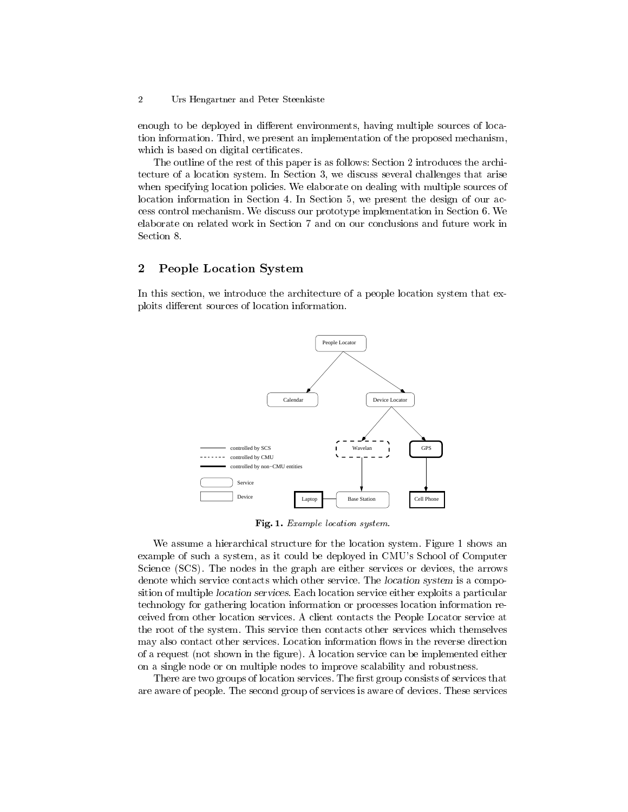#### $\overline{2}$ Urs Hengartner and Peter Steenkiste

enough to be deployed in different environments, having multiple sources of location information. Third, we present an implementation of the proposed mechanism, which is based on digital certificates.

The outline of the rest of this paper is as follows: Section 2 introduces the architecture of a location system. In Section 3, we discuss several challenges that arise when specifying location policies. We elaborate on dealing with multiple sources of location information in Section 4. In Section 5, we present the design of our access control mechanism. We discuss our prototype implementation in Section 6. We elaborate on related work in Section 7 and on our conclusions and future work in Section 8.

# $\overline{2}$ **People Location System**

In this section, we introduce the architecture of a people location system that exploits different sources of location information.



Fig. 1. Example location system.

We assume a hierarchical structure for the location system. Figure 1 shows an example of such a system, as it could be deployed in CMU's School of Computer Science (SCS). The nodes in the graph are either services or devices, the arrows denote which service contacts which other service. The location system is a composition of multiple *location services*. Each location service either exploits a particular technology for gathering location information or processes location information received from other location services. A client contacts the People Locator service at the root of the system. This service then contacts other services which themselves may also contact other services. Location information flows in the reverse direction of a request (not shown in the figure). A location service can be implemented either on a single node or on multiple nodes to improve scalability and robustness.

There are two groups of location services. The first group consists of services that are aware of people. The second group of services is aware of devices. These services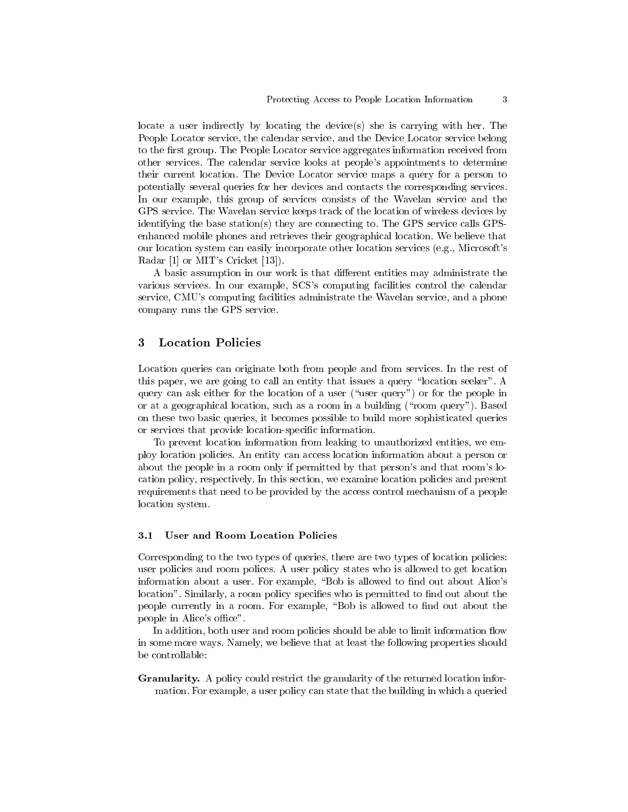locate a user indirectly by locating the device(s) she is carrying with her. The People Locator service, the calendar service, and the Device Locator service belong to the first group. The People Locator service aggregates information received from other services. The calendar service looks at people's appointments to determine their current location. The Device Locator service maps a query for a person to potentially several queries for her devices and contacts the corresponding services. In our example, this group of services consists of the Wavelan service and the GPS service. The Wavelan service keeps track of the location of wireless devices by identifying the base station(s) they are connecting to. The GPS service calls GPSenhanced mobile phones and retrieves their geographical location. We believe that our location system can easily incorporate other location services (e.g., Microsoft's Radar [1] or MIT's Cricket [13]).

A basic assumption in our work is that different entities may administrate the various services. In our example, SCS's computing facilities control the calendar service, CMU's computing facilities administrate the Wavelan service, and a phone company runs the GPS service.

# 3 **Location Policies**

Location queries can originate both from people and from services. In the rest of this paper, we are going to call an entity that issues a query "location seeker". A query can ask either for the location of a user ("user query") or for the people in or at a geographical location, such as a room in a building ("room query"). Based on these two basic queries, it becomes possible to build more sophisticated queries or services that provide location-specific information.

To prevent location information from leaking to unauthorized entities, we employ location policies. An entity can access location information about a person or about the people in a room only if permitted by that person's and that room's location policy, respectively. In this section, we examine location policies and present requirements that need to be provided by the access control mechanism of a people location system.

#### $3.1$ User and Room Location Policies

Corresponding to the two types of queries, there are two types of location policies: user policies and room polices. A user policy states who is allowed to get location information about a user. For example, "Bob is allowed to find out about Alice's location". Similarly, a room policy specifies who is permitted to find out about the people currently in a room. For example, "Bob is allowed to find out about the people in Alice's office".

In addition, both user and room policies should be able to limit information flow in some more ways. Namely, we believe that at least the following properties should be controllable:

**Granularity.** A policy could restrict the granularity of the returned location information. For example, a user policy can state that the building in which a queried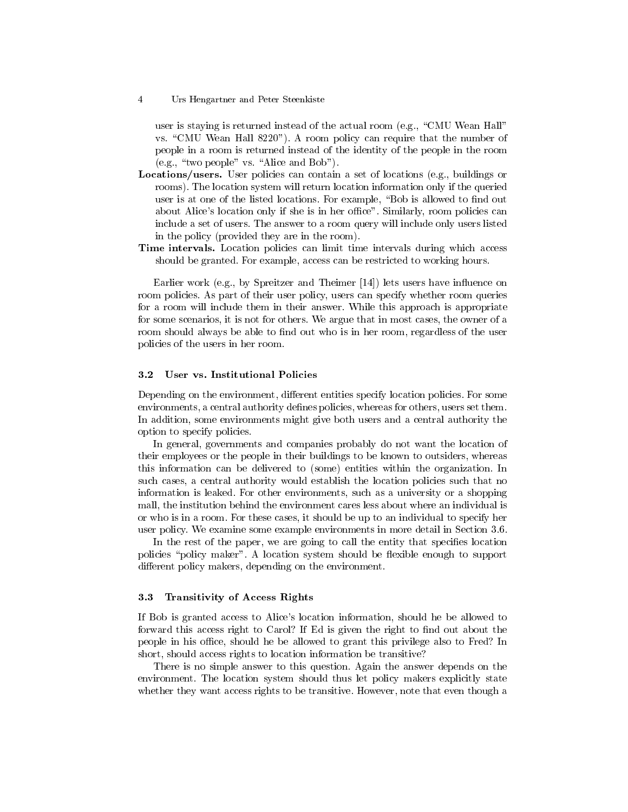$\overline{4}$ Urs Hengartner and Peter Steenkiste

user is staying is returned instead of the actual room (e.g., "CMU Wean Hall" vs. "CMU Wean Hall 8220"). A room policy can require that the number of people in a room is returned instead of the identity of the people in the room (e.g., "two people" vs. "Alice and Bob").

- **Locations/users.** User policies can contain a set of locations (e.g., buildings or rooms). The location system will return location information only if the queried user is at one of the listed locations. For example, "Bob is allowed to find out about Alice's location only if she is in her office". Similarly, room policies can include a set of users. The answer to a room query will include only users listed in the policy (provided they are in the room).
- Time intervals. Location policies can limit time intervals during which access should be granted. For example, access can be restricted to working hours.

Earlier work (e.g., by Spreitzer and Theimer [14]) lets users have influence on room policies. As part of their user policy, users can specify whether room queries for a room will include them in their answer. While this approach is appropriate for some scenarios, it is not for others. We argue that in most cases, the owner of a room should always be able to find out who is in her room, regardless of the user policies of the users in her room.

#### $3.2\,$ User vs. Institutional Policies

Depending on the environment, different entities specify location policies. For some environments, a central authority defines policies, whereas for others, users set them. In addition, some environments might give both users and a central authority the option to specify policies.

In general, governments and companies probably do not want the location of their employees or the people in their buildings to be known to outsiders, whereas this information can be delivered to (some) entities within the organization. In such cases, a central authority would establish the location policies such that no information is leaked. For other environments, such as a university or a shopping mall, the institution behind the environment cares less about where an individual is or who is in a room. For these cases, it should be up to an individual to specify her user policy. We examine some example environments in more detail in Section 3.6.

In the rest of the paper, we are going to call the entity that specifies location policies "policy maker". A location system should be flexible enough to support different policy makers, depending on the environment.

#### **Transitivity of Access Rights**  $3.3\,$

If Bob is granted access to Alice's location information, should he be allowed to forward this access right to Carol? If Ed is given the right to find out about the people in his office, should he be allowed to grant this privilege also to Fred? In short, should access rights to location information be transitive?

There is no simple answer to this question. Again the answer depends on the environment. The location system should thus let policy makers explicitly state whether they want access rights to be transitive. However, note that even though a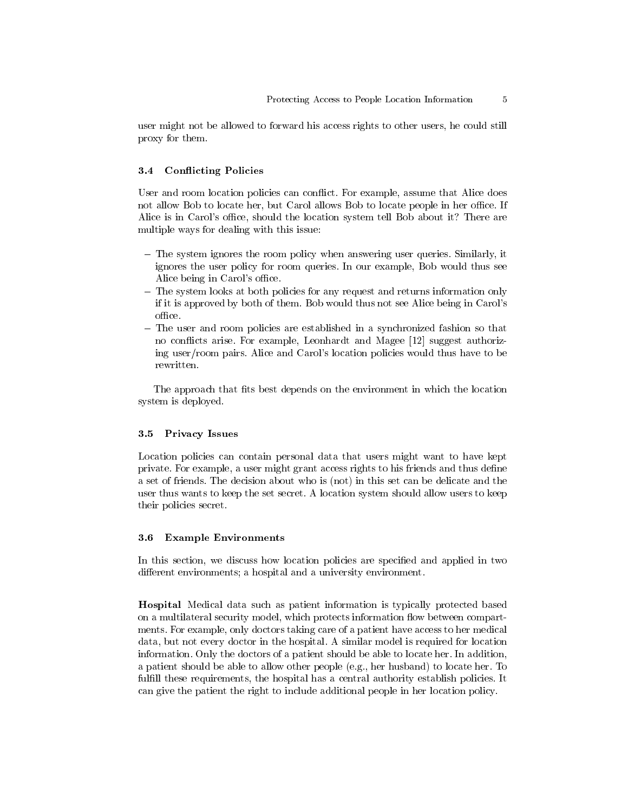user might not be allowed to forward his access rights to other users, he could still proxy for them.

#### 3.4 **Conflicting Policies**

User and room location policies can conflict. For example, assume that Alice does not allow Bob to locate her, but Carol allows Bob to locate people in her office. If Alice is in Carol's office, should the location system tell Bob about it? There are multiple ways for dealing with this issue:

- The system ignores the room policy when answering user queries. Similarly, it ignores the user policy for room queries. In our example, Bob would thus see Alice being in Carol's office.
- The system looks at both policies for any request and returns information only if it is approved by both of them. Bob would thus not see Alice being in Carol's office.
- The user and room policies are established in a synchronized fashion so that no conflicts arise. For example, Leonhardt and Magee [12] suggest authorizing user/room pairs. Alice and Carol's location policies would thus have to be rewritten.

The approach that fits best depends on the environment in which the location system is deployed.

#### $3.5\,$ **Privacy Issues**

Location policies can contain personal data that users might want to have kept private. For example, a user might grant access rights to his friends and thus define a set of friends. The decision about who is (not) in this set can be delicate and the user thus wants to keep the set secret. A location system should allow users to keep their policies secret.

#### $3.6\phantom{0}$ **Example Environments**

In this section, we discuss how location policies are specified and applied in two different environments; a hospital and a university environment.

**Hospital** Medical data such as patient information is typically protected based on a multilateral security model, which protects information flow between compartments. For example, only doctors taking care of a patient have access to her medical data, but not every doctor in the hospital. A similar model is required for location information. Only the doctors of a patient should be able to locate her. In addition, a patient should be able to allow other people (e.g., her husband) to locate her. To fulfill these requirements, the hospital has a central authority establish policies. It can give the patient the right to include additional people in her location policy.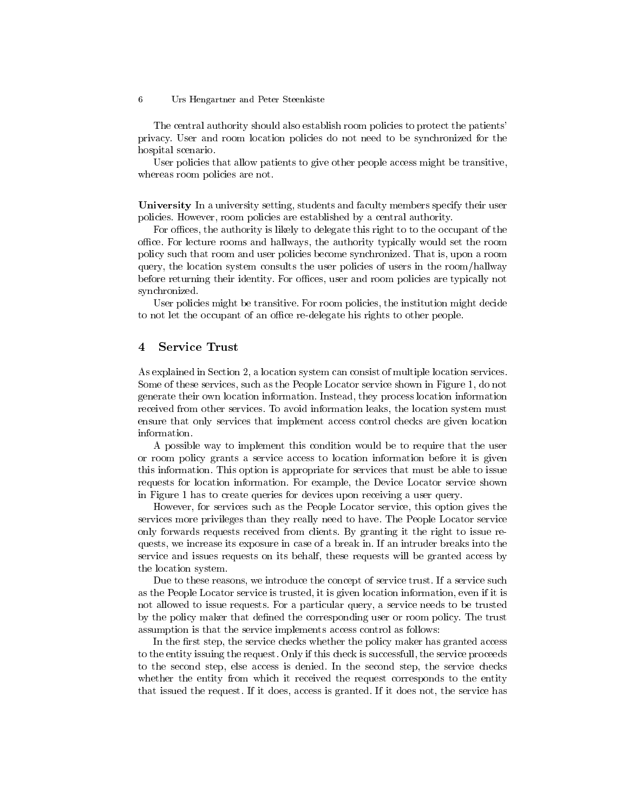The central authority should also establish room policies to protect the patients' privacy. User and room location policies do not need to be synchronized for the hospital scenario.

User policies that allow patients to give other people access might be transitive, whereas room policies are not.

**University** In a university setting, students and faculty members specify their user policies. However, room policies are established by a central authority.

For offices, the authority is likely to delegate this right to to the occupant of the office. For lecture rooms and hallways, the authority typically would set the room policy such that room and user policies become synchronized. That is, upon a room query, the location system consults the user policies of users in the room/hallway before returning their identity. For offices, user and room policies are typically not synchronized.

User policies might be transitive. For room policies, the institution might decide to not let the occupant of an office re-delegate his rights to other people.

# **Service Trust**  $\overline{4}$

As explained in Section 2, a location system can consist of multiple location services. Some of these services, such as the People Locator service shown in Figure 1, do not generate their own location information. Instead, they process location information received from other services. To avoid information leaks, the location system must ensure that only services that implement access control checks are given location information.

A possible way to implement this condition would be to require that the user or room policy grants a service access to location information before it is given this information. This option is appropriate for services that must be able to issue requests for location information. For example, the Device Locator service shown in Figure 1 has to create queries for devices upon receiving a user query.

However, for services such as the People Locator service, this option gives the services more privileges than they really need to have. The People Locator service only forwards requests received from clients. By granting it the right to issue requests, we increase its exposure in case of a break in. If an intruder breaks into the service and issues requests on its behalf, these requests will be granted access by the location system.

Due to these reasons, we introduce the concept of service trust. If a service such as the People Locator service is trusted, it is given location information, even if it is not allowed to issue requests. For a particular query, a service needs to be trusted by the policy maker that defined the corresponding user or room policy. The trust assumption is that the service implements access control as follows:

In the first step, the service checks whether the policy maker has granted access to the entity issuing the request. Only if this check is successfull, the service proceeds to the second step, else access is denied. In the second step, the service checks whether the entity from which it received the request corresponds to the entity that issued the request. If it does, access is granted. If it does not, the service has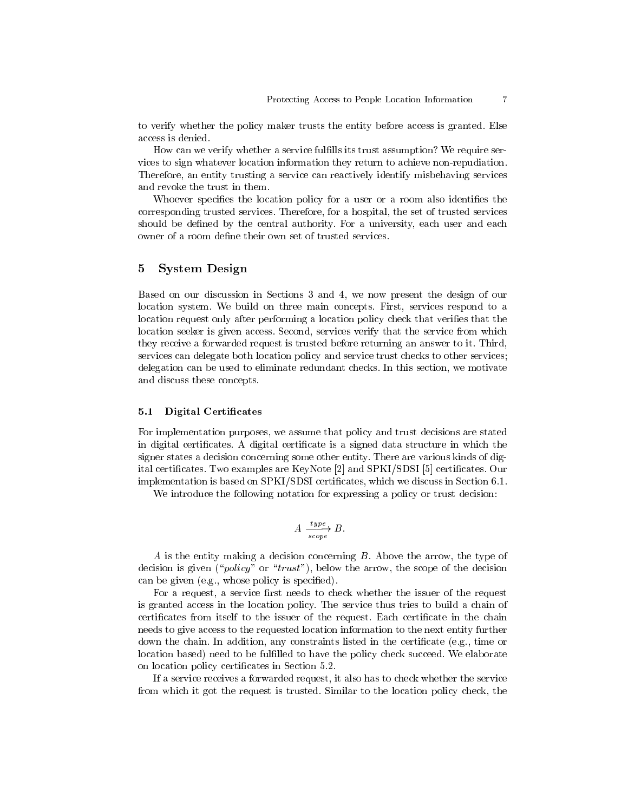to verify whether the policy maker trusts the entity before access is granted. Else access is denied.

How can we verify whether a service fulfills its trust assumption? We require services to sign whatever location information they return to achieve non-repudiation. Therefore, an entity trusting a service can reactively identify misbehaving services and revoke the trust in them.

Whoever specifies the location policy for a user or a room also identifies the corresponding trusted services. Therefore, for a hospital, the set of trusted services should be defined by the central authority. For a university, each user and each owner of a room define their own set of trusted services.

# 5 **System Design**

Based on our discussion in Sections 3 and 4, we now present the design of our location system. We build on three main concepts. First, services respond to a location request only after performing a location policy check that verifies that the location seeker is given access. Second, services verify that the service from which they receive a forwarded request is trusted before returning an answer to it. Third, services can delegate both location policy and service trust checks to other services; delegation can be used to eliminate redundant checks. In this section, we motivate and discuss these concepts.

#### $5.1$ **Digital Certificates**

For implementation purposes, we assume that policy and trust decisions are stated in digital certificates. A digital certificate is a signed data structure in which the signer states a decision concerning some other entity. There are various kinds of digital certificates. Two examples are KeyNote [2] and SPKI/SDSI [5] certificates. Our implementation is based on SPKI/SDSI certificates, which we discuss in Section 6.1.

We introduce the following notation for expressing a policy or trust decision:

$$
A \xrightarrow[scope]{type} B.
$$

 $A$  is the entity making a decision concerning  $B$ . Above the arrow, the type of decision is given ("*policy*" or "*trust*"), below the arrow, the scope of the decision can be given (e.g., whose policy is specified).

For a request, a service first needs to check whether the issuer of the request is granted access in the location policy. The service thus tries to build a chain of certificates from itself to the issuer of the request. Each certificate in the chain needs to give access to the requested location information to the next entity further down the chain. In addition, any constraints listed in the certificate (e.g., time or location based) need to be fulfilled to have the policy check succeed. We elaborate on location policy certificates in Section 5.2.

If a service receives a forwarded request, it also has to check whether the service from which it got the request is trusted. Similar to the location policy check, the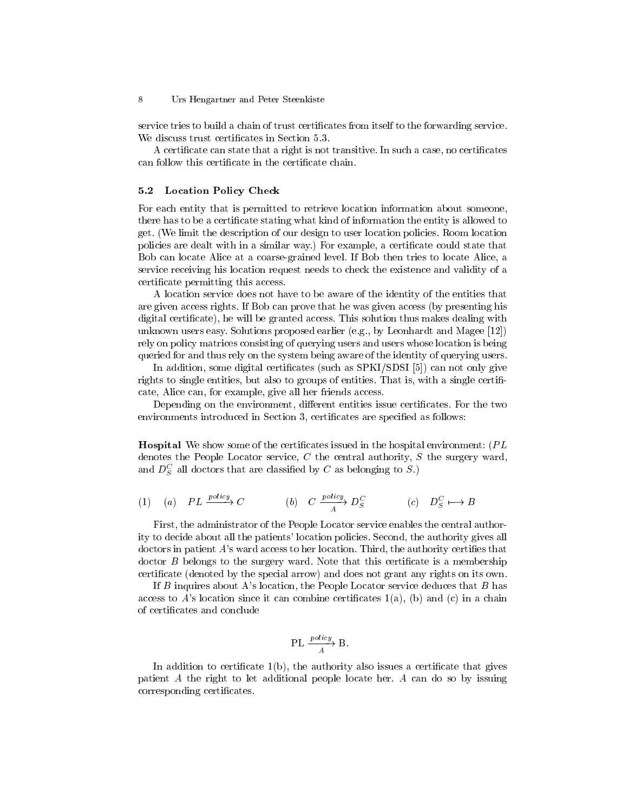service tries to build a chain of trust certificates from itself to the forwarding service. We discuss trust certificates in Section 5.3.

A certificate can state that a right is not transitive. In such a case, no certificates can follow this certificate in the certificate chain.

#### $5.2$ **Location Policy Check**

For each entity that is permitted to retrieve location information about someone, there has to be a certificate stating what kind of information the entity is allowed to get. (We limit the description of our design to user location policies. Room location policies are dealt with in a similar way.) For example, a certificate could state that Bob can locate Alice at a coarse-grained level. If Bob then tries to locate Alice, a service receiving his location request needs to check the existence and validity of a certificate permitting this access.

A location service does not have to be aware of the identity of the entities that are given access rights. If Bob can prove that he was given access (by presenting his digital certificate), he will be granted access. This solution thus makes dealing with unknown users easy. Solutions proposed earlier (e.g., by Leonhardt and Magee  $[12]$ ) rely on policy matrices consisting of querying users and users whose location is being queried for and thus rely on the system being aware of the identity of querying users.

In addition, some digital certificates (such as SPKI/SDSI [5]) can not only give rights to single entities, but also to groups of entities. That is, with a single certificate, Alice can, for example, give all her friends access.

Depending on the environment, different entities issue certificates. For the two environments introduced in Section 3, certificates are specified as follows:

**Hospital** We show some of the certificates issued in the hospital environment: (PL denotes the People Locator service,  $C$  the central authority,  $S$  the surgery ward, and  $D_S^C$  all doctors that are classified by C as belonging to S.)

(1) (a) 
$$
PL \xrightarrow{policy} C
$$
 (b)  $C \xrightarrow{policy} D_S^C$  (c)  $D_S^C \longrightarrow B$ 

First, the administrator of the People Locator service enables the central authority to decide about all the patients' location policies. Second, the authority gives all doctors in patient A's ward access to her location. Third, the authority certifies that doctor B belongs to the surgery ward. Note that this certificate is a membership certificate (denoted by the special arrow) and does not grant any rights on its own.

If  $B$  inquires about A's location, the People Locator service deduces that  $B$  has access to A's location since it can combine certificates  $1(a)$ , (b) and (c) in a chain of certificates and conclude

$$
\text{PL} \xrightarrow{policy} \text{B}.
$$

In addition to certificate  $1(b)$ , the authority also issues a certificate that gives patient A the right to let additional people locate her. A can do so by issuing corresponding certificates.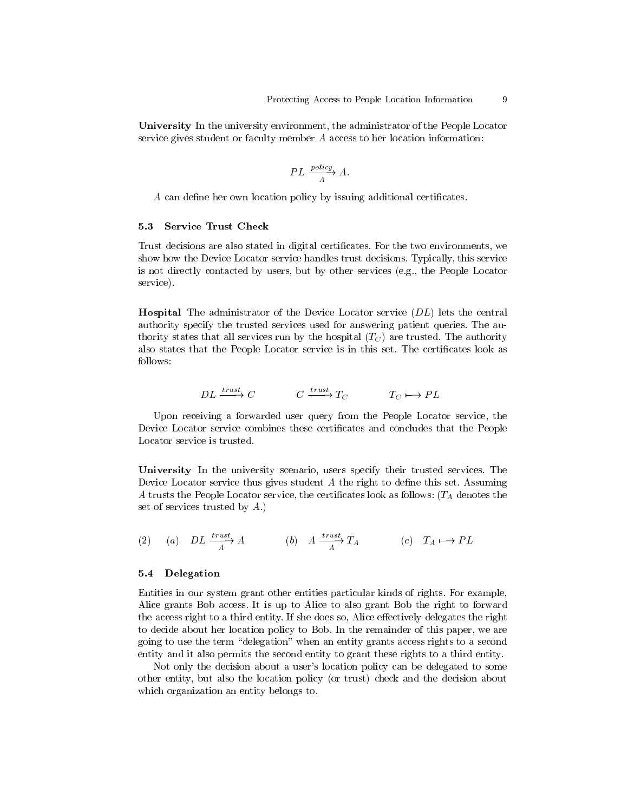**University** In the university environment, the administrator of the People Locator service gives student or faculty member A access to her location information:

$$
PL \xrightarrow{policy} A.
$$

A can define her own location policy by issuing additional certificates.

#### $5.3$ **Service Trust Check**

Trust decisions are also stated in digital certificates. For the two environments, we show how the Device Locator service handles trust decisions. Typically, this service is not directly contacted by users, but by other services (e.g., the People Locator service).

**Hospital** The administrator of the Device Locator service (DL) lets the central authority specify the trusted services used for answering patient queries. The authority states that all services run by the hospital  $(T_C)$  are trusted. The authority also states that the People Locator service is in this set. The certificates look as follows:

$$
DL \xrightarrow{trust} C \qquad \qquad C \xrightarrow{trust} T_C \qquad \qquad T_C \longmapsto PL
$$

Upon receiving a forwarded user query from the People Locator service, the Device Locator service combines these certificates and concludes that the People Locator service is trusted.

University In the university scenario, users specify their trusted services. The Device Locator service thus gives student  $A$  the right to define this set. Assuming A trusts the People Locator service, the certificates look as follows:  $(T_A \text{ denotes the})$ set of services trusted by  $A$ .)

(2) (a) 
$$
DL \xrightarrow{trust}_{A} A
$$
 (b)  $A \xrightarrow{trust}_{A} T_A$  (c)  $T_A \mapsto PL$ 

## $5.4$ Delegation

Entities in our system grant other entities particular kinds of rights. For example, Alice grants Bob access. It is up to Alice to also grant Bob the right to forward the access right to a third entity. If she does so, Alice effectively delegates the right to decide about her location policy to Bob. In the remainder of this paper, we are going to use the term "delegation" when an entity grants access rights to a second entity and it also permits the second entity to grant these rights to a third entity.

Not only the decision about a user's location policy can be delegated to some other entity, but also the location policy (or trust) check and the decision about which organization an entity belongs to.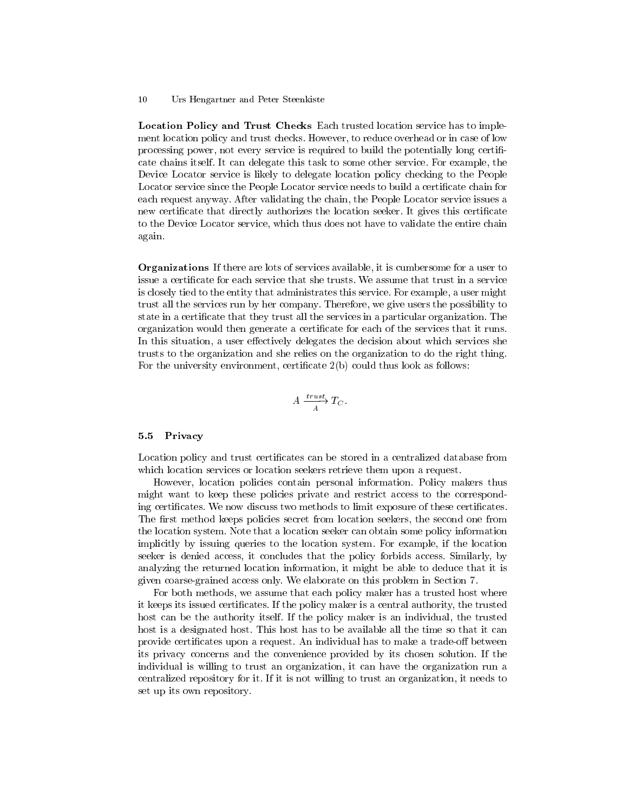**Location Policy and Trust Checks** Each trusted location service has to implement location policy and trust checks. However, to reduce overhead or in case of low processing power, not every service is required to build the potentially long certificate chains itself. It can delegate this task to some other service. For example, the Device Locator service is likely to delegate location policy checking to the People Locator service since the People Locator service needs to build a certificate chain for each request anyway. After validating the chain, the People Locator service issues a new certificate that directly authorizes the location seeker. It gives this certificate to the Device Locator service, which thus does not have to validate the entire chain again.

**Organizations** If there are lots of services available, it is cumbersome for a user to issue a certificate for each service that she trusts. We assume that trust in a service is closely tied to the entity that administrates this service. For example, a user might trust all the services run by her company. Therefore, we give users the possibility to state in a certificate that they trust all the services in a particular organization. The organization would then generate a certificate for each of the services that it runs. In this situation, a user effectively delegates the decision about which services she trusts to the organization and she relies on the organization to do the right thing. For the university environment, certificate  $2(b)$  could thus look as follows:

$$
A \xrightarrow[A]{trust} T_C
$$

#### Privacy  $5.5$

Location policy and trust certificates can be stored in a centralized database from which location services or location seekers retrieve them upon a request.

However, location policies contain personal information. Policy makers thus might want to keep these policies private and restrict access to the corresponding certificates. We now discuss two methods to limit exposure of these certificates. The first method keeps policies secret from location seekers, the second one from the location system. Note that a location seeker can obtain some policy information implicitly by issuing queries to the location system. For example, if the location seeker is denied access, it concludes that the policy forbids access. Similarly, by analyzing the returned location information, it might be able to deduce that it is given coarse-grained access only. We elaborate on this problem in Section 7.

For both methods, we assume that each policy maker has a trusted host where it keeps its issued certificates. If the policy maker is a central authority, the trusted host can be the authority itself. If the policy maker is an individual, the trusted host is a designated host. This host has to be available all the time so that it can provide certificates upon a request. An individual has to make a trade-off between its privacy concerns and the convenience provided by its chosen solution. If the individual is willing to trust an organization, it can have the organization run a centralized repository for it. If it is not willing to trust an organization, it needs to set up its own repository.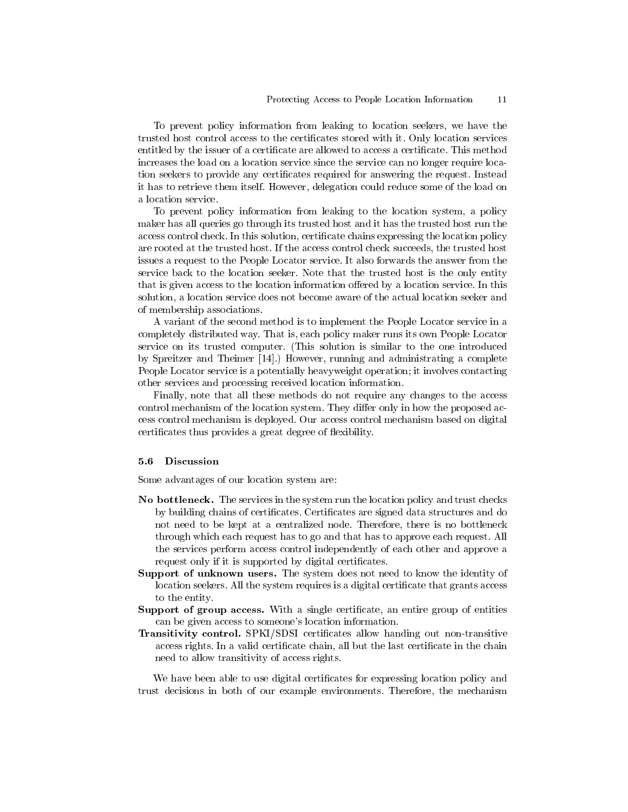To prevent policy information from leaking to location seekers, we have the trusted host control access to the certificates stored with it. Only location services entitled by the issuer of a certificate are allowed to access a certificate. This method increases the load on a location service since the service can no longer require location seekers to provide any certificates required for answering the request. Instead it has to retrieve them itself. However, delegation could reduce some of the load on a location service.

To prevent policy information from leaking to the location system, a policy maker has all queries go through its trusted host and it has the trusted host run the access control check. In this solution, certificate chains expressing the location policy are rooted at the trusted host. If the access control check succeeds, the trusted host issues a request to the People Locator service. It also forwards the answer from the service back to the location seeker. Note that the trusted host is the only entity that is given access to the location information offered by a location service. In this solution, a location service does not become aware of the actual location seeker and of membership associations.

A variant of the second method is to implement the People Locator service in a completely distributed way. That is, each policy maker runs its own People Locator service on its trusted computer. (This solution is similar to the one introduced by Spreitzer and Theimer [14].) However, running and administrating a complete People Locator service is a potentially heavy weight operation; it involves contacting other services and processing received location information.

Finally, note that all these methods do not require any changes to the access control mechanism of the location system. They differ only in how the proposed access control mechanism is deployed. Our access control mechanism based on digital certificates thus provides a great degree of flexibility.

#### $5.6$ **Discussion**

Some advantages of our location system are:

- No bottleneck. The services in the system run the location policy and trust checks by building chains of certificates. Certificates are signed data structures and do not need to be kept at a centralized node. Therefore, there is no bottleneck through which each request has to go and that has to approve each request. All the services perform access control independently of each other and approve a request only if it is supported by digital certificates.
- **Support of unknown users.** The system does not need to know the identity of location seekers. All the system requires is a digital certificate that grants access to the entity.
- Support of group access. With a single certificate, an entire group of entities can be given access to someone's location information.
- **Transitivity control.** SPKI/SDSI certificates allow handing out non-transitive access rights. In a valid certificate chain, all but the last certificate in the chain need to allow transitivity of access rights.

We have been able to use digital certificates for expressing location policy and trust decisions in both of our example environments. Therefore, the mechanism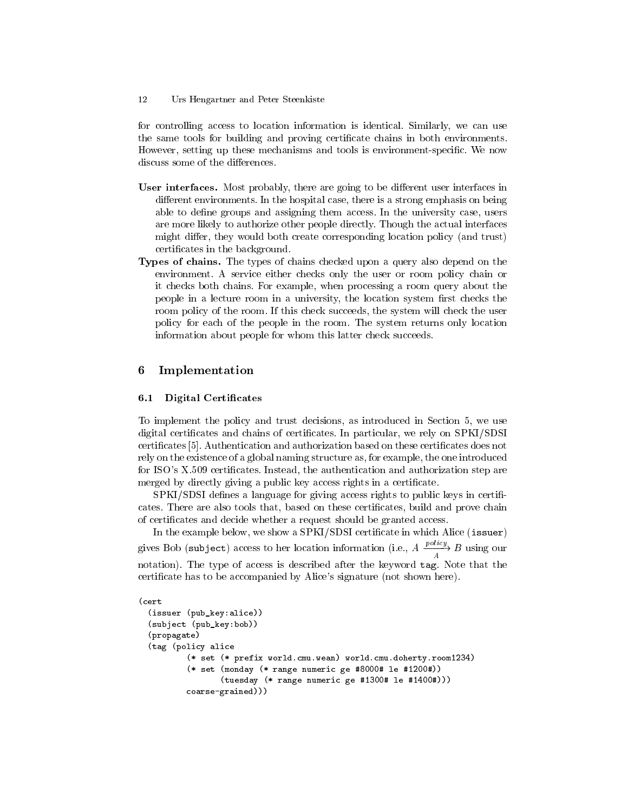for controlling access to location information is identical. Similarly, we can use the same tools for building and proving certificate chains in both environments. However, setting up these mechanisms and tools is environment-specific. We now discuss some of the differences.

- User interfaces. Most probably, there are going to be different user interfaces in different environments. In the hospital case, there is a strong emphasis on being able to define groups and assigning them access. In the university case, users are more likely to authorize other people directly. Though the actual interfaces might differ, they would both create corresponding location policy (and trust) certificates in the background.
- **Types of chains.** The types of chains checked upon a query also depend on the environment. A service either checks only the user or room policy chain or it checks both chains. For example, when processing a room query about the people in a lecture room in a university, the location system first checks the room policy of the room. If this check succeeds, the system will check the user policy for each of the people in the room. The system returns only location information about people for whom this latter check succeeds.

# 6 Implementation

### **Digital Certificates**  $6.1$

To implement the policy and trust decisions, as introduced in Section 5, we use digital certificates and chains of certificates. In particular, we rely on SPKI/SDSI certificates [5]. Authentication and authorization based on these certificates does not rely on the existence of a global naming structure as, for example, the one introduced for ISO's X.509 certificates. Instead, the authentication and authorization step are merged by directly giving a public key access rights in a certificate.

SPKI/SDSI defines a language for giving access rights to public keys in certificates. There are also tools that, based on these certificates, build and prove chain of certificates and decide whether a request should be granted access.

In the example below, we show a SPKI/SDSI certificate in which Alice (issuer) gives Bob (subject) access to her location information (i.e.,  $A \xrightarrow{policy} B$  using our notation). The type of access is described after the keyword tag. Note that the certificate has to be accompanied by Alice's signature (not shown here).

```
(cert
(issuer (pub_key:alice))
(subject (pub_key:bob))
(propagate)
(tag (policy alice
        (* set (* prefix world.cmu.wean) world.cmu.doherty.room1234)
        (* set (monday (* range numeric ge #8000# le #1200#))
               (tuesday (* range numeric ge #1300# le #1400#)))
        coarse-grained)))
```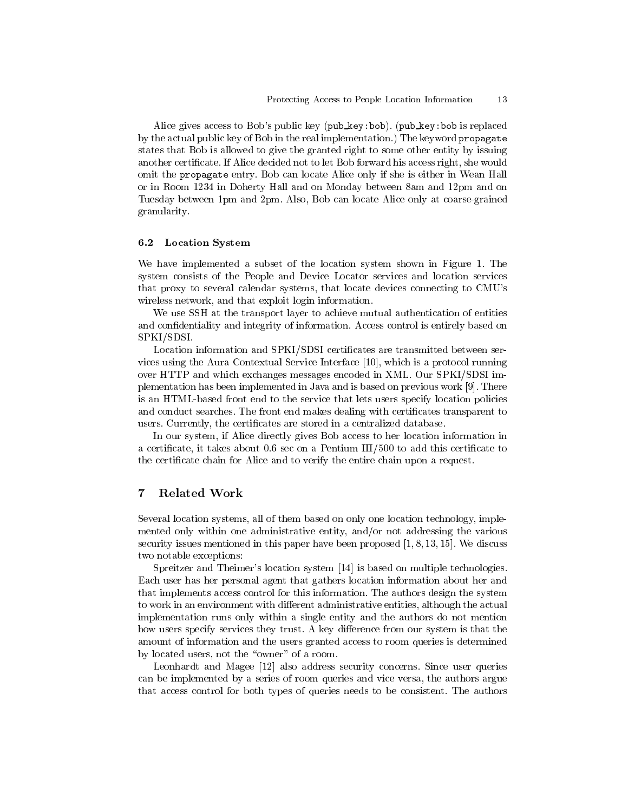Alice gives access to Bob's public key (pub\_key:bob). (pub\_key:bob is replaced by the actual public key of Bob in the real implementation.) The keyword propagate states that Bob is allowed to give the granted right to some other entity by issuing another certificate. If Alice decided not to let Bob forward his access right, she would omit the propagate entry. Bob can locate Alice only if she is either in Wean Hall or in Room 1234 in Doherty Hall and on Monday between 8am and 12pm and on Tuesday between 1pm and 2pm. Also, Bob can locate Alice only at coarse-grained granularity.

#### **Location System**  $6.2$

We have implemented a subset of the location system shown in Figure 1. The system consists of the People and Device Locator services and location services that proxy to several calendar systems, that locate devices connecting to CMU's wireless network, and that exploit login information.

We use SSH at the transport layer to achieve mutual authentication of entities and confidentiality and integrity of information. Access control is entirely based on SPKI/SDSI

Location information and SPKI/SDSI certificates are transmitted between services using the Aura Contextual Service Interface [10], which is a protocol running over HTTP and which exchanges messages encoded in XML. Our SPKI/SDSI implementation has been implemented in Java and is based on previous work [9]. There is an HTML-based front end to the service that lets users specify location policies and conduct searches. The front end makes dealing with certificates transparent to users. Currently, the certificates are stored in a centralized database.

In our system, if Alice directly gives Bob access to her location information in a certificate, it takes about  $0.6$  sec on a Pentium III/500 to add this certificate to the certificate chain for Alice and to verify the entire chain upon a request.

# $\overline{7}$ Related Work

Several location systems, all of them based on only one location technology, implemented only within one administrative entity, and/or not addressing the various security issues mentioned in this paper have been proposed  $[1, 8, 13, 15]$ . We discuss two notable exceptions:

Spreitzer and Theimer's location system [14] is based on multiple technologies. Each user has her personal agent that gathers location information about her and that implements access control for this information. The authors design the system to work in an environment with different administrative entities, although the actual implementation runs only within a single entity and the authors do not mention how users specify services they trust. A key difference from our system is that the amount of information and the users granted access to room queries is determined by located users, not the "owner" of a room.

Leonhardt and Magee [12] also address security concerns. Since user queries can be implemented by a series of room queries and vice versa, the authors argue that access control for both types of queries needs to be consistent. The authors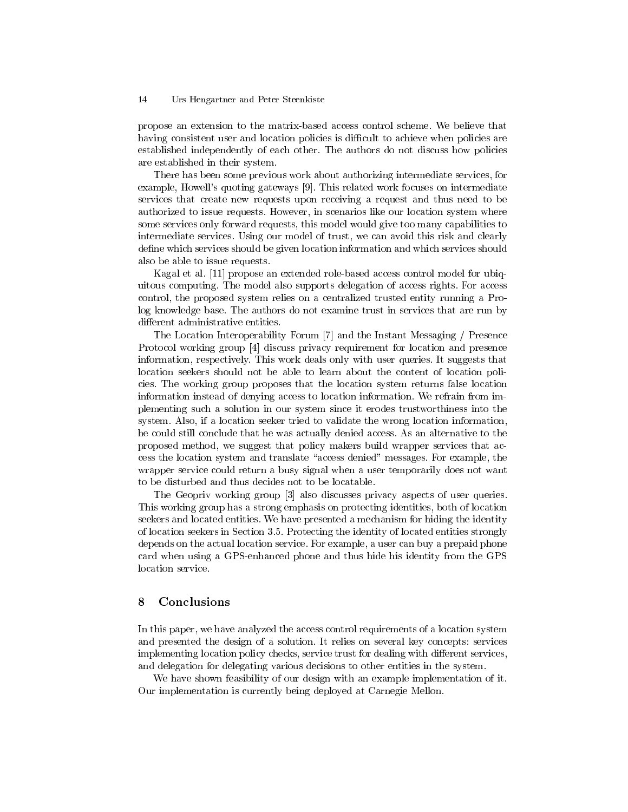propose an extension to the matrix-based access control scheme. We believe that having consistent user and location policies is difficult to achieve when policies are established independently of each other. The authors do not discuss how policies are established in their system.

There has been some previous work about authorizing intermediate services, for example, Howell's quoting gateways [9]. This related work focuses on intermediate services that create new requests upon receiving a request and thus need to be authorized to issue requests. However, in scenarios like our location system where some services only forward requests, this model would give too many capabilities to intermediate services. Using our model of trust, we can avoid this risk and clearly define which services should be given location information and which services should also be able to issue requests.

Kagal et al. [11] propose an extended role-based access control model for ubiquitous computing. The model also supports delegation of access rights. For access control, the proposed system relies on a centralized trusted entity running a Prolog knowledge base. The authors do not examine trust in services that are run by different administrative entities.

The Location Interoperability Forum [7] and the Instant Messaging / Presence Protocol working group [4] discuss privacy requirement for location and presence information, respectively. This work deals only with user queries. It suggests that location seekers should not be able to learn about the content of location policies. The working group proposes that the location system returns false location information instead of denying access to location information. We refrain from implementing such a solution in our system since it erodes trustworthiness into the system. Also, if a location seeker tried to validate the wrong location information, he could still conclude that he was actually denied access. As an alternative to the proposed method, we suggest that policy makers build wrapper services that access the location system and translate "access denied" messages. For example, the wrapper service could return a busy signal when a user temporarily does not want to be disturbed and thus decides not to be locatable.

The Geopriv working group [3] also discusses privacy aspects of user queries. This working group has a strong emphasis on protecting identities, both of location seekers and located entities. We have presented a mechanism for hiding the identity of location seekers in Section 3.5. Protecting the identity of located entities strongly depends on the actual location service. For example, a user can buy a prepaid phone card when using a GPS-enhanced phone and thus hide his identity from the GPS location service.

# 8 Conclusions

In this paper, we have analyzed the access control requirements of a location system and presented the design of a solution. It relies on several key concepts: services implementing location policy checks, service trust for dealing with different services, and delegation for delegating various decisions to other entities in the system.

We have shown feasibility of our design with an example implementation of it. Our implementation is currently being deployed at Carnegie Mellon.